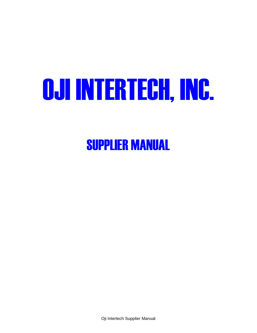# OJI INTERTECH, INC.

SUPPLIER MANUAL

Oji Intertech Supplier Manual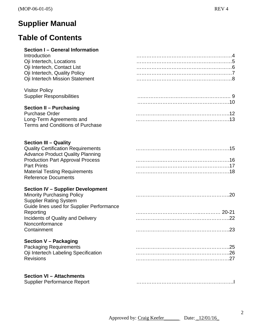#### **Supplier Manual**

#### **Table of Contents**

#### **Section I – General Information** Introduction

| Introduction                            |  |
|-----------------------------------------|--|
| Oji Intertech, Locations                |  |
| Oji Intertech, Contact List             |  |
| Oji Intertech, Quality Policy           |  |
| Oji Intertech Mission Statement         |  |
| <b>Visitor Policy</b>                   |  |
| <b>Supplier Responsibilities</b>        |  |
|                                         |  |
| <b>Section II - Purchasing</b>          |  |
| <b>Purchase Order</b>                   |  |
| Long-Term Agreements and                |  |
| <b>Terms and Conditions of Purchase</b> |  |

#### **Section III – Quality**

| <b>Quality Certification Requirements</b> |  |
|-------------------------------------------|--|
| <b>Advance Product Quality Planning</b>   |  |
| <b>Production Part Approval Process</b>   |  |
| <b>Part Prints</b>                        |  |
| <b>Material Testing Requirements</b>      |  |
| <b>Reference Documents</b>                |  |

#### **Section IV – Supplier Development**

| <b>Minority Purchasing Policy</b>         |  |
|-------------------------------------------|--|
| <b>Supplier Rating System</b>             |  |
| Guide lines used for Supplier Performance |  |
| Reporting                                 |  |
| Incidents of Quality and Delivery         |  |
| Nonconformance                            |  |
| Containment                               |  |
|                                           |  |

#### **Section V – Packaging**

| Packaging Requirements               |  |
|--------------------------------------|--|
| Oji Intertech Labeling Specification |  |
| <b>Revisions</b>                     |  |

#### **Section VI – Attachments**

| <b>Supplier Performance Report</b> |  |
|------------------------------------|--|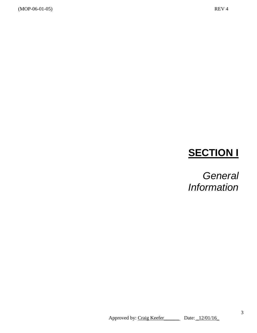# **SECTION I**

*General Information*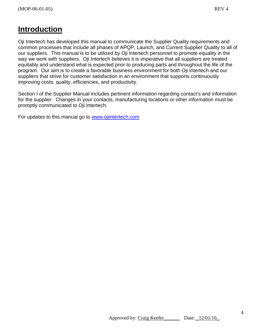#### **Introduction**

Oji Intertech has developed this manual to communicate the Supplier Quality requirements and common processes that include all phases of APQP, Launch, and Current Supplier Quality to all of our suppliers. This manual is to be utilized by Oji Intertech personnel to promote equality in the way we work with suppliers. Oji Intertech believes it is imperative that all suppliers are treated equitably and understand what is expected prior to producing parts and throughout the life of the program. Our aim is to create a favorable business environment for both Oji Intertech and our suppliers that strive for customer satisfaction in an environment that supports continuously improving costs, quality, efficiencies, and productivity.

Section I of the Supplier Manual includes pertinent information regarding contact's and information for the supplier. Changes in your contacts, manufacturing locations or other information must be promptly communicated to Oji Intertech.

For updates to this manual go to [www.ojiintertech.com](http://www.ojiintertech.com/)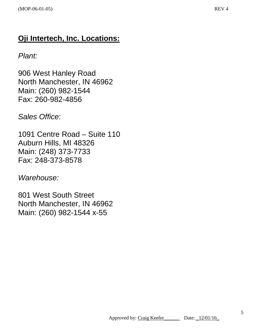#### **Oji Intertech, Inc. Locations:**

#### *Plant:*

906 West Hanley Road North Manchester, IN 46962 Main: (260) 982-1544 Fax: 260-982-4856

*Sales Office*:

1091 Centre Road – Suite 110 Auburn Hills, MI 48326 Main: (248) 373-7733 Fax: 248-373-8578

*Warehouse:*

801 West South Street North Manchester, IN 46962 Main: (260) 982-1544 x-55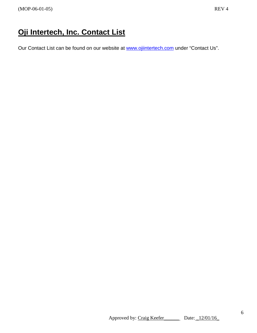### **Oji Intertech, Inc. Contact List**

Our Contact List can be found on our website at [www.ojiintertech.com](http://www.ojiintertech.com/) under "Contact Us".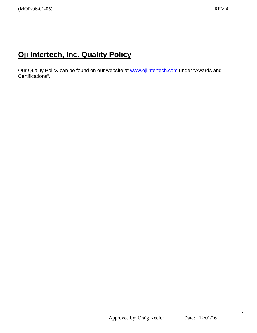#### **Oji Intertech, Inc. Quality Policy**

Our Quality Policy can be found on our website at [www.ojiintertech.com](http://www.ojiintertech.com/) under "Awards and Certifications".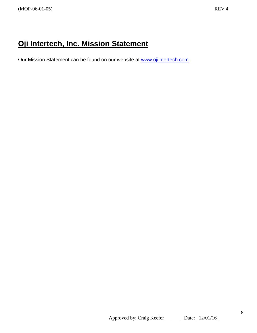## **Oji Intertech, Inc. Mission Statement**

Our Mission Statement can be found on our website at [www.ojiintertech.com](http://www.ojiintertech.com/) .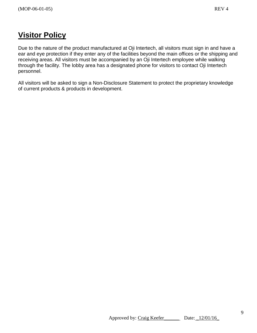## **Visitor Policy**

Due to the nature of the product manufactured at Oji Intertech, all visitors must sign in and have a ear and eye protection if they enter any of the facilities beyond the main offices or the shipping and receiving areas. All visitors must be accompanied by an Oji Intertech employee while walking through the facility. The lobby area has a designated phone for visitors to contact Oji Intertech personnel.

All visitors will be asked to sign a Non-Disclosure Statement to protect the proprietary knowledge of current products & products in development.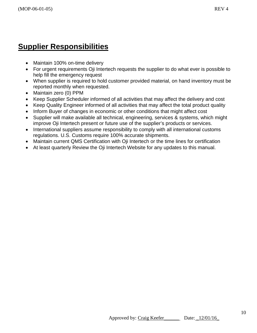## **Supplier Responsibilities**

- Maintain 100% on-time delivery
- For urgent requirements Oji Intertech requests the supplier to do what ever is possible to help fill the emergency request
- When supplier is required to hold customer provided material, on hand inventory must be reported monthly when requested.
- Maintain zero (0) PPM
- Keep Supplier Scheduler informed of all activities that may affect the delivery and cost
- Keep Quality Engineer informed of all activities that may affect the total product quality
- Inform Buyer of changes in economic or other conditions that might affect cost
- Supplier will make available all technical, engineering, services & systems, which might improve Oji Intertech present or future use of the supplier's products or services.
- International suppliers assume responsibility to comply with all international customs regulations. U.S. Customs require 100% accurate shipments.
- Maintain current QMS Certification with Oji Intertech or the time lines for certification
- At least quarterly Review the Oji Intertech Website for any updates to this manual.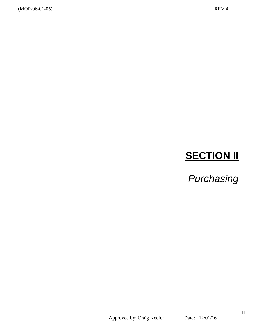(MOP-06-01-05) REV 4

# **SECTION II**

*Purchasing*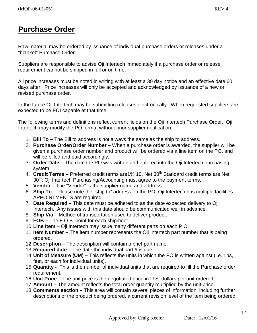#### **Purchase Order**

Raw material may be ordered by issuance of individual purchase orders or releases under a "blanket" Purchase Order.

Suppliers are responsible to advise Oji Intertech immediately if a purchase order or release requirement cannot be shipped in full or on time.

All price increases must be noted in writing with at least a 30 day notice and an effective date 60 days after. Price increases will only be accepted and acknowledged by issuance of a new or revised purchase order.

In the future Oji Intertech may be submitting releases electronically. When requested suppliers are expected to be EDI capable at that time.

The following terms and definitions reflect current fields on the Oji Intertech Purchase Order. Oji Intertech may modify the PO format without prior supplier notification.

- 1. **Bill To –** The Bill to address is not always the same as the ship to address.
- 2. **Purchase Order/Order Number –** When a purchase order is awarded, the supplier will be given a purchase order number and product will be ordered via a line item on the PO, and will be billed and paid accordingly.
- 3. **Order Date –** The date the PO was written and entered into the Oji Intertech purchasing system.
- 4. **Credit Terms** Preferred credit terms are 1% 10, Net 30<sup>th</sup> Standard credit terms are Net 30<sup>th</sup>; Oji Intertech Purchasing/Accounting must agree to the payment terms.
- 5. **Vendor –** The "Vendor" is the supplier name and address.
- 6. **Ship To –** Please note the "ship to" address on the PO; Oji Intertech has multiple facilities. APPOINTMENTS are required.
- 7. **Date Required –** This date must be adhered to as the date expected delivery to Oji Intertech. Any issues with this date should be communicated well in advance.
- 8. **Ship Via –** Method of transportation used to deliver product.
- 9. **FOB –** The F.O.B. point for each shipment.
- 10.**Line Item**  Oji Intertech may issue many different parts on each P.O.
- 11.**Item Number –** The item number represents the Oji Intertech part number that is being ordered.
- 12.**Description –** The description will contain a brief part name.
- 13.**Required date –** The date the individual part # is due.
- 14.**Unit of Measure (UM) –** This reflects the units in which the PO is written against (i.e. Lbs, feet, or each for individual units).
- 15.**Quantity -** This is the number of individual units that are required to fill the Purchase order requirement.
- 16.**Unit Price –** The unit price is the negotiated price in U.S. dollars per unit ordered.
- 17.**Amount –** The amount reflects the total order quantity multiplied by the unit price.
- 18.**Comments section –** This area will contain several pieces of information, including further descriptions of the product being ordered, a current revision level of the item being ordered.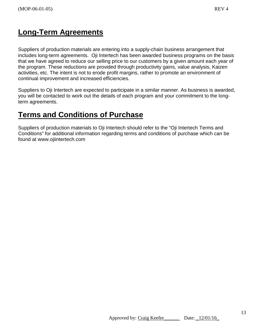#### **Long-Term Agreements**

Suppliers of production materials are entering into a supply-chain business arrangement that includes long-term agreements. Oji Intertech has been awarded business programs on the basis that we have agreed to reduce our selling price to our customers by a given amount each year of the program. These reductions are provided through productivity gains, value analysis, Kaizen activities, etc. The intent is not to erode profit margins, rather to promote an environment of continual improvement and increased efficiencies.

Suppliers to Oji Intertech are expected to participate in a similar manner. As business is awarded, you will be contacted to work out the details of each program and your commitment to the longterm agreements.

## **Terms and Conditions of Purchase**

Suppliers of production materials to Oji Intertech should refer to the "Oji Intertech Terms and Conditions" for additional information regarding terms and conditions of purchase which can be found at www.ojiintertech.com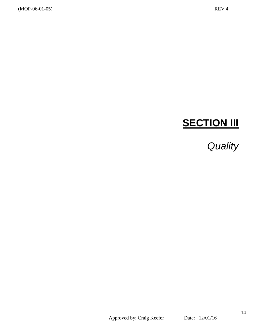# **SECTION III**

# *Quality*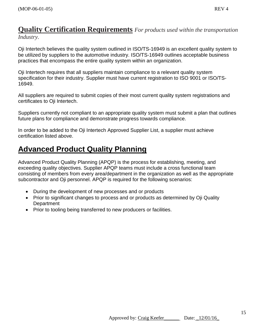### **Quality Certification Requirements** *For products used within the transportation*

*Industry.*

Oji Intertech believes the quality system outlined in ISO/TS-16949 is an excellent quality system to be utilized by suppliers to the automotive industry. ISO/TS-16949 outlines acceptable business practices that encompass the entire quality system within an organization.

Oji Intertech requires that all suppliers maintain compliance to a relevant quality system specification for their industry. Supplier must have current registration to ISO 9001 or ISO/TS-16949.

All suppliers are required to submit copies of their most current quality system registrations and certificates to Oji Intertech.

Suppliers currently not compliant to an appropriate quality system must submit a plan that outlines future plans for compliance and demonstrate progress towards compliance.

In order to be added to the Oji Intertech Approved Supplier List, a supplier must achieve certification listed above.

#### **Advanced Product Quality Planning**

Advanced Product Quality Planning (APQP) is the process for establishing, meeting, and exceeding quality objectives. Supplier APQP teams must include a cross functional team consisting of members from every area/department in the organization as well as the appropriate subcontractor and Oji personnel. APQP is required for the following scenarios:

- During the development of new processes and or products
- Prior to significant changes to process and or products as determined by Oji Quality **Department**
- Prior to tooling being transferred to new producers or facilities.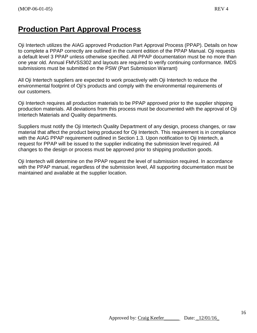#### **Production Part Approval Process**

Oji Intertech utilizes the AIAG approved Production Part Approval Process (PPAP). Details on how to complete a PPAP correctly are outlined in the current edition of the PPAP Manual. Oji requests a default level 3 PPAP unless otherwise specified. All PPAP documentation must be no more than one year old. Annual FMVSS302 and layouts are required to verify continuing conformance. IMDS submissions must be submitted on the PSW (Part Submission Warrant)

All Oji Intertech suppliers are expected to work proactively with Oji Intertech to reduce the environmental footprint of Oji's products and comply with the environmental requirements of our customers.

Oji Intertech requires all production materials to be PPAP approved prior to the supplier shipping production materials. All deviations from this process must be documented with the approval of Oji Intertech Materials and Quality departments.

Suppliers must notify the Oji Intertech Quality Department of any design, process changes, or raw material that affect the product being produced for Oji Intertech. This requirement is in compliance with the AIAG PPAP requirement outlined in Section 1.3. Upon notification to Oji Intertech, a request for PPAP will be issued to the supplier indicating the submission level required. All changes to the design or process must be approved prior to shipping production goods.

Oji Intertech will determine on the PPAP request the level of submission required. In accordance with the PPAP manual, regardless of the submission level, All supporting documentation must be maintained and available at the supplier location.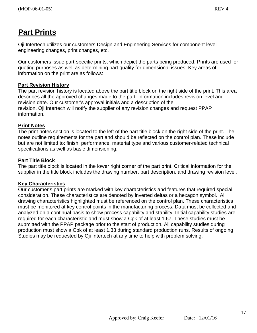### **Part Prints**

Oji Intertech utilizes our customers Design and Engineering Services for component level engineering changes, print changes, etc.

Our customers issue part-specific prints, which depict the parts being produced. Prints are used for quoting purposes as well as determining part quality for dimensional issues. Key areas of information on the print are as follows:

#### **Part Revision History**

The part revision history is located above the part title block on the right side of the print. This area describes all the approved changes made to the part. Information includes revision level and revision date. Our customer's approval initials and a description of the revision. Oji Intertech will notify the supplier of any revision changes and request PPAP information.

#### **Print Notes**

The print notes section is located to the left of the part title block on the right side of the print. The notes outline requirements for the part and should be reflected on the control plan. These include but are not limited to: finish, performance, material type and various customer-related technical specifications as well as basic dimensioning.

#### **Part Title Block**

The part title block is located in the lower right corner of the part print. Critical information for the supplier in the title block includes the drawing number, part description, and drawing revision level.

#### **Key Characteristics**

Our customer's part prints are marked with key characteristics and features that required special consideration. These characteristics are denoted by inverted deltas or a hexagon symbol. All drawing characteristics highlighted must be referenced on the control plan. These characteristics must be monitored at key control points in the manufacturing process. Data must be collected and analyzed on a continual basis to show process capability and stability. Initial capability studies are required for each characteristic and must show a Cpk of at least 1.67. These studies must be submitted with the PPAP package prior to the start of production. All capability studies during production must show a Cpk of at least 1.33 during standard production runs. Results of ongoing Studies may be requested by Oji Intertech at any time to help with problem solving.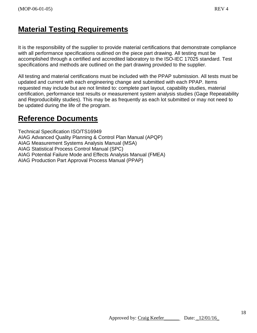#### **Material Testing Requirements**

It is the responsibility of the supplier to provide material certifications that demonstrate compliance with all performance specifications outlined on the piece part drawing. All testing must be accomplished through a certified and accredited laboratory to the ISO-IEC 17025 standard. Test specifications and methods are outlined on the part drawing provided to the supplier.

All testing and material certifications must be included with the PPAP submission. All tests must be updated and current with each engineering change and submitted with each PPAP. Items requested may include but are not limited to: complete part layout, capability studies, material certification, performance test results or measurement system analysis studies (Gage Repeatability and Reproducibility studies). This may be as frequently as each lot submitted or may not need to be updated during the life of the program.

#### **Reference Documents**

Technical Specification ISO/TS16949 AIAG Advanced Quality Planning & Control Plan Manual (APQP) AIAG Measurement Systems Analysis Manual (MSA) AIAG Statistical Process Control Manual (SPC) AIAG Potential Failure Mode and Effects Analysis Manual (FMEA) AIAG Production Part Approval Process Manual (PPAP)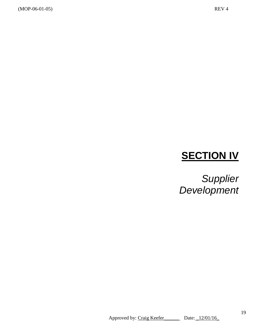# **SECTION IV**

*Supplier Development*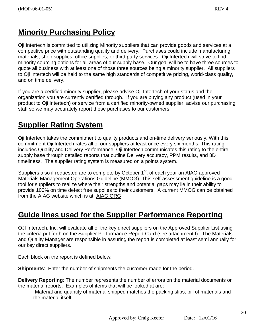## **Minority Purchasing Policy**

Oji Intertech is committed to utilizing Minority suppliers that can provide goods and services at a competitive price with outstanding quality and delivery. Purchases could include manufacturing materials, shop supplies, office supplies, or third party services. Oji Intertech will strive to find minority sourcing options for all areas of our supply base. Our goal will be to have three sources to quote all business with at least one of those three sources being a minority supplier. All suppliers to Oji Intertech will be held to the same high standards of competitive pricing, world-class quality, and on time delivery.

If you are a certified minority supplier, please advise Oji Intertech of your status and the organization you are currently certified through. If you are buying any product (used in your product to Oji Intertech) or service from a certified minority-owned supplier, advise our purchasing staff so we may accurately report these purchases to our customers.

## **Supplier Rating System**

Oji Intertech takes the commitment to quality products and on-time delivery seriously. With this commitment Oji Intertech rates all of our suppliers at least once every six months. This rating includes Quality and Delivery Performance. Oji Intertech communicates this rating to the entire supply base through detailed reports that outline Delivery accuracy, PPM results, and 8D timeliness. The supplier rating system is measured on a points system.

Suppliers also if requested are to complete by October 1<sup>st</sup>. of each year an AIAG approved Materials Management Operations Guideline (MMOG). This self-assessment guideline is a good tool for suppliers to realize where their strengths and potential gaps may lie in their ability to provide 100% on time defect free supplies to their customers. A current MMOG can be obtained from the AIAG website which is at: AIAG.ORG

## **Guide lines used for the Supplier Performance Reporting**

OJI Intertech, Inc. will evaluate all of the key direct suppliers on the Approved Supplier List using the criteria put forth on the Supplier Performance Report Card (see attachment I). The Materials and Quality Manager are responsible in assuring the report is completed at least semi annually for our key direct suppliers.

Each block on the report is defined below:

**Shipments**: Enter the number of shipments the customer made for the period.

**Delivery Reporting**: The number represents the number of errors on the material documents or the material reports. Examples of items that will be looked at are:

-Material and quantity of material shipped matches the packing slips, bill of materials and the material itself.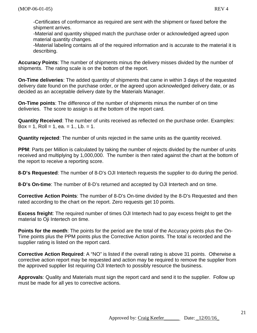-Certificates of conformance as required are sent with the shipment or faxed before the shipment arrives.

-Material and quantity shipped match the purchase order or acknowledged agreed upon material quantity changes.

-Material labeling contains all of the required information and is accurate to the material it is describing.

**Accuracy Points**: The number of shipments minus the delivery misses divided by the number of shipments. The rating scale is on the bottom of the report.

**On-Time deliveries**: The added quantity of shipments that came in within 3 days of the requested delivery date found on the purchase order, or the agreed upon acknowledged delivery date, or as decided as an acceptable delivery date by the Materials Manager.

**On-Time points**: The difference of the number of shipments minus the number of on time deliveries. The score to assign is at the bottom of the report card.

**Quantity Received**: The number of units received as reflected on the purchase order. Examples:  $Box = 1$ ,  $Roll = 1$ ,  $ea = 1$ .,  $Lb = 1$ .

**Quantity rejected**: The number of units rejected in the same units as the quantity received.

**PPM**: Parts per Million is calculated by taking the number of rejects divided by the number of units received and multiplying by 1,000,000. The number is then rated against the chart at the bottom of the report to receive a reporting score.

**8-D's Requested**: The number of 8-D's OJI Intertech requests the supplier to do during the period.

**8-D's On-time**: The number of 8-D's returned and accepted by OJI Intertech and on time.

**Corrective Action Points**: The number of 8-D's On-time divided by the 8-D's Requested and then rated according to the chart on the report. Zero requests get 10 points.

**Excess freight**: The required number of times OJI Intertech had to pay excess freight to get the material to Oji Intertech on time.

**Points for the month**: The points for the period are the total of the Accuracy points plus the On-Time points plus the PPM points plus the Corrective Action points. The total is recorded and the supplier rating is listed on the report card.

**Corrective Action Required**: A "NO" is listed if the overall rating is above 31 points. Otherwise a corrective action report may be requested and action may be required to remove the supplier from the approved supplier list requiring OJI Intertech to possibly resource the business.

**Approvals**: Quality and Materials must sign the report card and send it to the supplier. Follow up must be made for all yes to corrective actions.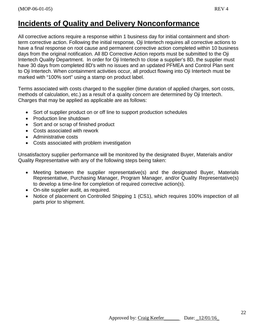#### **Incidents of Quality and Delivery Nonconformance**

All corrective actions require a response within 1 business day for initial containment and shortterm corrective action. Following the initial response, Oji Intertech requires all corrective actions to have a final response on root cause and permanent corrective action completed within 10 business days from the original notification. All 8D Corrective Action reports must be submitted to the Oji Intertech Quality Department. In order for Oji Intertech to close a supplier's 8D, the supplier must have 30 days from completed 8D's with no issues and an updated PFMEA and Control Plan sent to Oji Intertech. When containment activities occur, all product flowing into Oji Intertech must be marked with "100% sort" using a stamp on product label.

Terms associated with costs charged to the supplier (time duration of applied charges, sort costs, methods of calculation, etc.) as a result of a quality concern are determined by Oji Intertech. Charges that may be applied as applicable are as follows:

- Sort of supplier product on or off line to support production schedules
- Production line shutdown
- Sort and or scrap of finished product
- Costs associated with rework
- Administrative costs
- Costs associated with problem investigation

Unsatisfactory supplier performance will be monitored by the designated Buyer, Materials and/or Quality Representative with any of the following steps being taken:

- Meeting between the supplier representative(s) and the designated Buyer, Materials Representative, Purchasing Manager, Program Manager, and/or Quality Representative(s) to develop a time-line for completion of required corrective action(s).
- On-site supplier audit, as required.
- Notice of placement on Controlled Shipping 1 (CS1), which requires 100% inspection of all parts prior to shipment.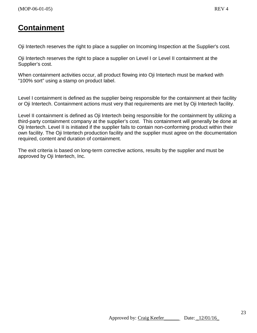#### **Containment**

Oji Intertech reserves the right to place a supplier on Incoming Inspection at the Supplier's cost*.* 

Oji Intertech reserves the right to place a supplier on Level I or Level II containment at the Supplier's cost.

When containment activities occur, all product flowing into Oji Intertech must be marked with "100% sort" using a stamp on product label.

Level I containment is defined as the supplier being responsible for the containment at their facility or Oji Intertech. Containment actions must very that requirements are met by Oji Intertech facility.

Level II containment is defined as Oji Intertech being responsible for the containment by utilizing a third-party containment company at the supplier's cost. This containment will generally be done at Oji Intertech. Level II is initiated if the supplier fails to contain non-conforming product within their own facility. The Oji Intertech production facility and the supplier must agree on the documentation required, content and duration of containment.

The exit criteria is based on long-term corrective actions, results by the supplier and must be approved by Oji Intertech, Inc.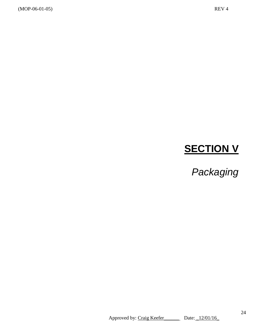# **SECTION V**

*Packaging*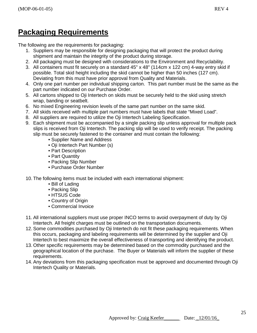## **Packaging Requirements**

The following are the requirements for packaging:

- 1. Suppliers may be responsible for designing packaging that will protect the product during shipment and maintain the integrity of the product during storage.
- 2. All packaging must be designed with considerations to the Environment and Recyclability.
- 3. All containers must fit securely on a standard 45" x 48" (114cm x 122 cm) 4-way entry skid if possible. Total skid height including the skid cannot be higher than 50 inches (127 cm). Deviating from this must have prior approval from Quality and Materials.
- 4. Only one part number per individual shipping carton. This part number must be the same as the part number indicated on our Purchase Order.
- 5. All cartons shipped to Oji Intertech on skids must be securely held to the skid using stretch wrap, banding or seatbelt.
- 6. No mixed Engineering revision levels of the same part number on the same skid.
- 7. All skids received with multiple part numbers must have labels that state "Mixed Load".
- 8. All suppliers are required to utilize the Oji Intertech Labeling Specification.
- 9. Each shipment must be accompanied by a single packing slip unless approval for multiple pack slips is received from Oji Intertech. The packing slip will be used to verify receipt. The packing slip must be securely fastened to the container and must contain the following:
	- Supplier Name and Address
	- Oji Intertech Part Number (s)
	- Part Description
	- Part Quantity
	- Packing Slip Number
	- Purchase Order Number
- 10. The following items must be included with each international shipment:
	- Bill of Lading
	- Packing Slip
	- HTSUS Code
	- Country of Origin
	- Commercial Invoice
- 11. All international suppliers must use proper INCO terms to avoid overpayment of duty by Oji Intertech. All freight charges must be outlined on the transportation documents.
- 12. Some commodities purchased by Oji Intertech do not fit these packaging requirements. When this occurs, packaging and labeling requirements will be determined by the supplier and Oji Intertech to best maximize the overall effectiveness of transporting and identifying the product.
- 13. Other specific requirements may be determined based on the commodity purchased and the geographical location of the purchase. The Buyer or Materials will inform the supplier of these requirements.
- 14. Any deviations from this packaging specification must be approved and documented through Oji Intertech Quality or Materials.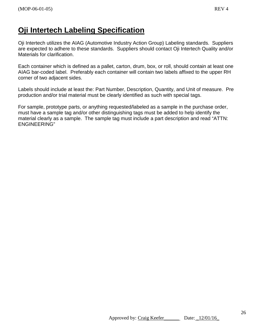#### **Oji Intertech Labeling Specification**

Oji Intertech utilizes the AIAG (Automotive Industry Action Group) Labeling standards. Suppliers are expected to adhere to these standards. Suppliers should contact Oji Intertech Quality and/or Materials for clarification.

Each container which is defined as a pallet, carton, drum, box, or roll, should contain at least one AIAG bar-coded label. Preferably each container will contain two labels affixed to the upper RH corner of two adjacent sides.

Labels should include at least the: Part Number, Description, Quantity, and Unit of measure. Pre production and/or trial material must be clearly identified as such with special tags.

For sample, prototype parts, or anything requested/labeled as a sample in the purchase order, must have a sample tag and/or other distinguishing tags must be added to help identify the material clearly as a sample. The sample tag must include a part description and read "ATTN: ENGINEERING"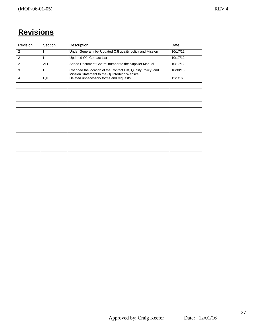# **Revisions**

| Revision | Section                 | Description                                                                                                      | Date     |
|----------|-------------------------|------------------------------------------------------------------------------------------------------------------|----------|
| 2        |                         | Under General Info- Updated OJI quality policy and Mission                                                       | 10/17/12 |
| 2        |                         | <b>Updated OJI Contact List</b>                                                                                  | 10/17/12 |
| 2        | <b>ALL</b>              | Added Document Control number to the Supplier Manual                                                             | 10/17/12 |
| 3        |                         | Changed the location of the Contact List, Quality Policy, and<br>Mission Statement to the Oji Intertech Website. | 10/30/13 |
| 4        | $\overline{\mathbf{H}}$ | Deleted unnecessary forms and requests                                                                           | 12/1/16  |
|          |                         |                                                                                                                  |          |
|          |                         |                                                                                                                  |          |
|          |                         |                                                                                                                  |          |
|          |                         |                                                                                                                  |          |
|          |                         |                                                                                                                  |          |
|          |                         |                                                                                                                  |          |
|          |                         |                                                                                                                  |          |
|          |                         |                                                                                                                  |          |
|          |                         |                                                                                                                  |          |
|          |                         |                                                                                                                  |          |
|          |                         |                                                                                                                  |          |
|          |                         |                                                                                                                  |          |
|          |                         |                                                                                                                  |          |
|          |                         |                                                                                                                  |          |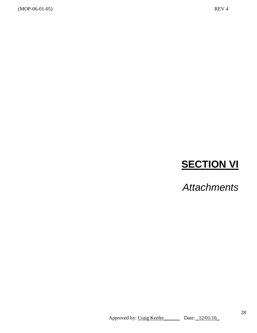# **SECTION VI**

*Attachments*